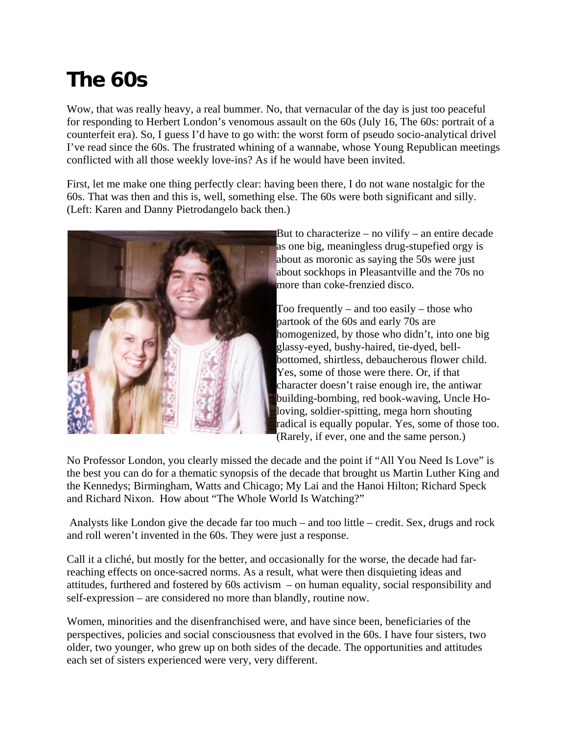## **The 60s**

Wow, that was really heavy, a real bummer. No, that vernacular of the day is just too peaceful for responding to Herbert London's venomous assault on the 60s (July 16, The 60s: portrait of a counterfeit era). So, I guess I'd have to go with: the worst form of pseudo socio-analytical drivel I've read since the 60s. The frustrated whining of a wannabe, whose Young Republican meetings conflicted with all those weekly love-ins? As if he would have been invited.

First, let me make one thing perfectly clear: having been there, I do not wane nostalgic for the 60s. That was then and this is, well, something else. The 60s were both significant and silly. (Left: Karen and Danny Pietrodangelo back then.)



But to characterize – no vilify – an entire decade as one big, meaningless drug-stupefied orgy is about as moronic as saying the 50s were just about sockhops in Pleasantville and the 70s no more than coke-frenzied disco.

Too frequently – and too easily – those who partook of the 60s and early 70s are homogenized, by those who didn't, into one big glassy-eyed, bushy-haired, tie-dyed, bellbottomed, shirtless, debaucherous flower child. Yes, some of those were there. Or, if that character doesn't raise enough ire, the antiwar building-bombing, red book-waving, Uncle Holoving, soldier-spitting, mega horn shouting radical is equally popular. Yes, some of those too. (Rarely, if ever, one and the same person.)

No Professor London, you clearly missed the decade and the point if "All You Need Is Love" is the best you can do for a thematic synopsis of the decade that brought us Martin Luther King and the Kennedys; Birmingham, Watts and Chicago; My Lai and the Hanoi Hilton; Richard Speck and Richard Nixon. How about "The Whole World Is Watching?"

 Analysts like London give the decade far too much – and too little – credit. Sex, drugs and rock and roll weren't invented in the 60s. They were just a response.

Call it a cliché, but mostly for the better, and occasionally for the worse, the decade had farreaching effects on once-sacred norms. As a result, what were then disquieting ideas and attitudes, furthered and fostered by 60s activism – on human equality, social responsibility and self-expression – are considered no more than blandly, routine now.

Women, minorities and the disenfranchised were, and have since been, beneficiaries of the perspectives, policies and social consciousness that evolved in the 60s. I have four sisters, two older, two younger, who grew up on both sides of the decade. The opportunities and attitudes each set of sisters experienced were very, very different.